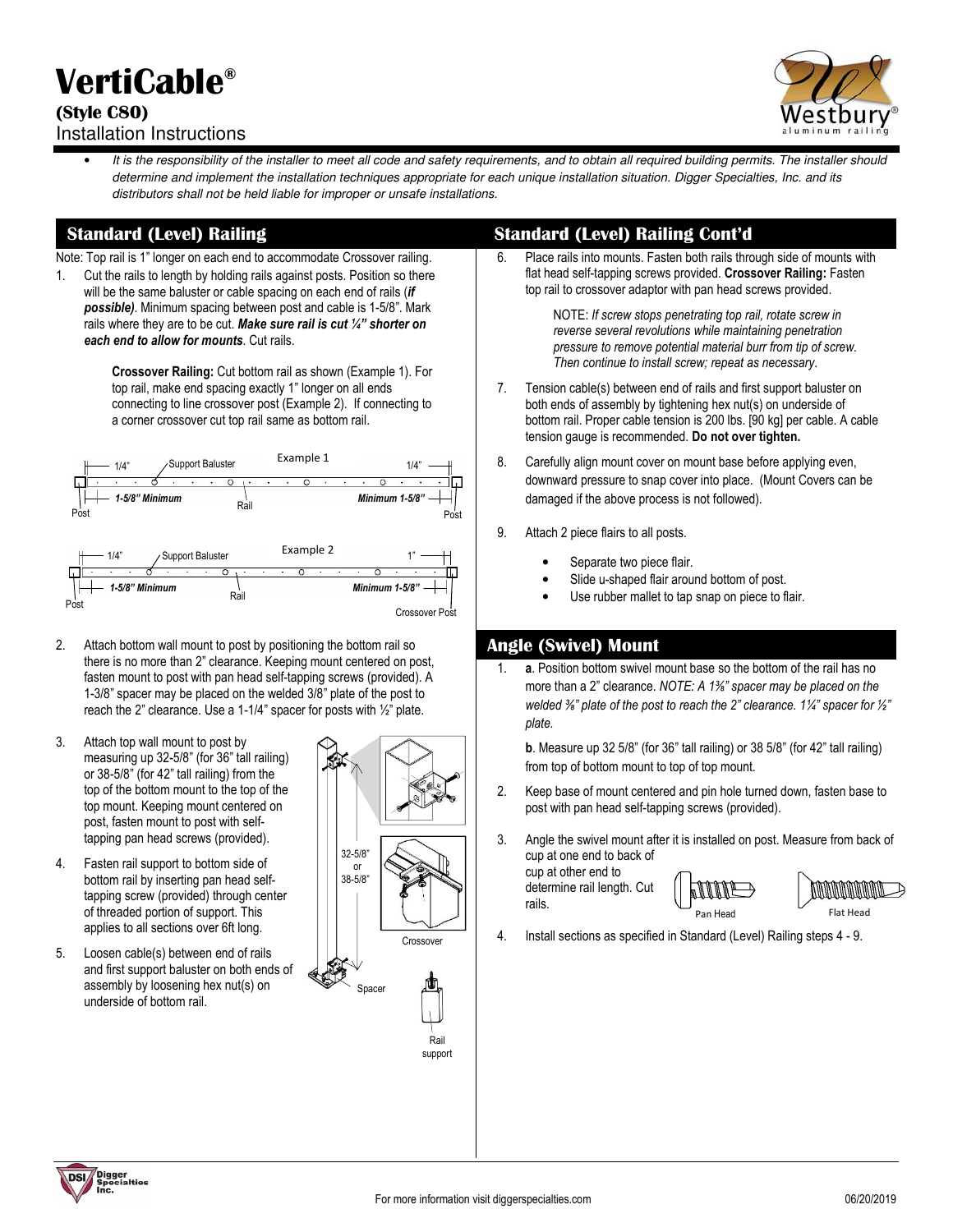# **VertiCable®**

#### **(Style C80)**  Installation Instructions



It is the responsibility of the installer to meet all code and safety requirements, and to obtain all required building permits. The installer should determine and implement the installation techniques appropriate for each unique installation situation. Digger Specialties, Inc. and its distributors shall not be held liable for improper or unsafe installations.

Note: Top rail is 1" longer on each end to accommodate Crossover railing.

1. Cut the rails to length by holding rails against posts. Position so there will be the same baluster or cable spacing on each end of rails (*if possible)*. Minimum spacing between post and cable is 1-5/8". Mark rails where they are to be cut. *Make sure rail is cut ¼" shorter on each end to allow for mounts*. Cut rails.

> **Crossover Railing:** Cut bottom rail as shown (Example 1). For top rail, make end spacing exactly 1" longer on all ends connecting to line crossover post (Example 2). If connecting to a corner crossover cut top rail same as bottom rail.



- 2. Attach bottom wall mount to post by positioning the bottom rail so there is no more than 2" clearance. Keeping mount centered on post, fasten mount to post with pan head self-tapping screws (provided). A 1-3/8" spacer may be placed on the welded 3/8" plate of the post to reach the 2" clearance. Use a 1-1/4" spacer for posts with ½" plate.
- 3. Attach top wall mount to post by measuring up 32-5/8" (for 36" tall railing) or 38-5/8" (for 42" tall railing) from the top of the bottom mount to the top of the top mount. Keeping mount centered on post, fasten mount to post with selftapping pan head screws (provided).
- 4. Fasten rail support to bottom side of bottom rail by inserting pan head selftapping screw (provided) through center of threaded portion of support. This applies to all sections over 6ft long.
- 5. Loosen cable(s) between end of rails and first support baluster on both ends of assembly by loosening hex nut(s) on underside of bottom rail.



## **Standard (Level) Railing Standard (Level) Railing Cont'd**

6. Place rails into mounts. Fasten both rails through side of mounts with flat head self-tapping screws provided. **Crossover Railing:** Fasten top rail to crossover adaptor with pan head screws provided.

> NOTE: *If screw stops penetrating top rail, rotate screw in reverse several revolutions while maintaining penetration pressure to remove potential material burr from tip of screw. Then continue to install screw; repeat as necessary*.

- 7. Tension cable(s) between end of rails and first support baluster on both ends of assembly by tightening hex nut(s) on underside of bottom rail. Proper cable tension is 200 lbs. [90 kg] per cable. A cable tension gauge is recommended. **Do not over tighten.**
- 8. Carefully align mount cover on mount base before applying even, downward pressure to snap cover into place. (Mount Covers can be damaged if the above process is not followed).
- 9. Attach 2 piece flairs to all posts.
	- Separate two piece flair.
	- Slide u-shaped flair around bottom of post.
	- Use rubber mallet to tap snap on piece to flair.

## **Angle (Swivel) Mount**

1. **a**. Position bottom swivel mount base so the bottom of the rail has no more than a 2" clearance. *NOTE: A 1⅜" spacer may be placed on the welded ⅜" plate of the post to reach the 2" clearance. 1¼" spacer for ½" plate.*

**b**. Measure up 32 5/8" (for 36" tall railing) or 38 5/8" (for 42" tall railing) from top of bottom mount to top of top mount.

- 2. Keep base of mount centered and pin hole turned down, fasten base to post with pan head self-tapping screws (provided).
- 3. Angle the swivel mount after it is installed on post. Measure from back of cup at one end to back of

cup at other end to determine rail length. Cut rails.





4. Install sections as specified in Standard (Level) Railing steps 4 - 9.

**DSI** Digger